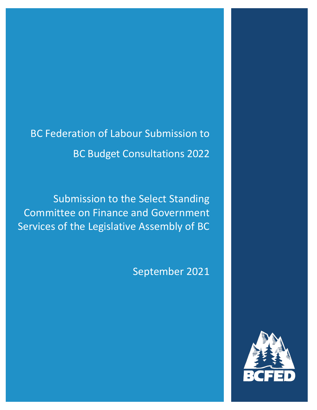BC Federation of Labour Submission to BC Budget Consultations 2022

Submission to the Select Standing Committee on Finance and Government Services of the Legislative Assembly of BC

September 2021

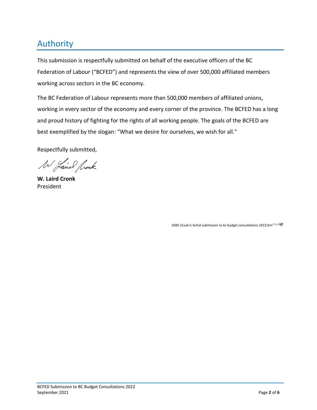# Authority

This submission is respectfully submitted on behalf of the executive officers of the BC Federation of Labour ("BCFED") and represents the view of over 500,000 affiliated members working across sectors in the BC economy.

The BC Federation of Labour represents more than 500,000 members of affiliated unions, working in every sector of the economy and every corner of the province. The BCFED has a long and proud history of fighting for the rights of all working people. The goals of the BCFED are best exemplified by the slogan: "What we desire for ourselves, we wish for all."

Respectfully submitted,

W Laire Rock

**W. Laird Cronk** President

1000-21sub lc bcfed submission to bc budget consultations 2022/km<sup>/novel</sup>.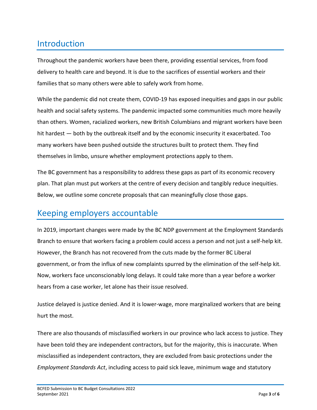# Introduction

Throughout the pandemic workers have been there, providing essential services, from food delivery to health care and beyond. It is due to the sacrifices of essential workers and their families that so many others were able to safely work from home.

While the pandemic did not create them, COVID-19 has exposed inequities and gaps in our public health and social safety systems. The pandemic impacted some communities much more heavily than others. Women, racialized workers, new British Columbians and migrant workers have been hit hardest — both by the outbreak itself and by the economic insecurity it exacerbated. Too many workers have been pushed outside the structures built to protect them. They find themselves in limbo, unsure whether employment protections apply to them.

The BC government has a responsibility to address these gaps as part of its economic recovery plan. That plan must put workers at the centre of every decision and tangibly reduce inequities. Below, we outline some concrete proposals that can meaningfully close those gaps.

## Keeping employers accountable

In 2019, important changes were made by the BC NDP government at the Employment Standards Branch to ensure that workers facing a problem could access a person and not just a self-help kit. However, the Branch has not recovered from the cuts made by the former BC Liberal government, or from the influx of new complaints spurred by the elimination of the self-help kit. Now, workers face unconscionably long delays. It could take more than a year before a worker hears from a case worker, let alone has their issue resolved.

Justice delayed is justice denied. And it is lower-wage, more marginalized workers that are being hurt the most.

There are also thousands of misclassified workers in our province who lack access to justice. They have been told they are independent contractors, but for the majority, this is inaccurate. When misclassified as independent contractors, they are excluded from basic protections under the *Employment Standards Act*, including access to paid sick leave, minimum wage and statutory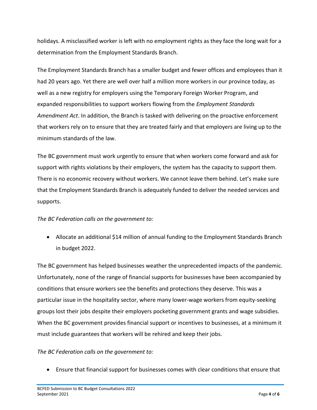holidays. A misclassified worker is left with no employment rights as they face the long wait for a determination from the Employment Standards Branch.

The Employment Standards Branch has a smaller budget and fewer offices and employees than it had 20 years ago. Yet there are well over half a million more workers in our province today, as well as a new registry for employers using the Temporary Foreign Worker Program, and expanded responsibilities to support workers flowing from the *Employment Standards Amendment Act*. In addition, the Branch is tasked with delivering on the proactive enforcement that workers rely on to ensure that they are treated fairly and that employers are living up to the minimum standards of the law.

The BC government must work urgently to ensure that when workers come forward and ask for support with rights violations by their employers, the system has the capacity to support them. There is no economic recovery without workers. We cannot leave them behind. Let's make sure that the Employment Standards Branch is adequately funded to deliver the needed services and supports.

#### *The BC Federation calls on the government to:*

• Allocate an additional \$14 million of annual funding to the Employment Standards Branch in budget 2022.

The BC government has helped businesses weather the unprecedented impacts of the pandemic. Unfortunately, none of the range of financial supports for businesses have been accompanied by conditions that ensure workers see the benefits and protections they deserve. This was a particular issue in the hospitality sector, where many lower-wage workers from equity-seeking groups lost their jobs despite their employers pocketing government grants and wage subsidies. When the BC government provides financial support or incentives to businesses, at a minimum it must include guarantees that workers will be rehired and keep their jobs.

#### *The BC Federation calls on the government to:*

• Ensure that financial support for businesses comes with clear conditions that ensure that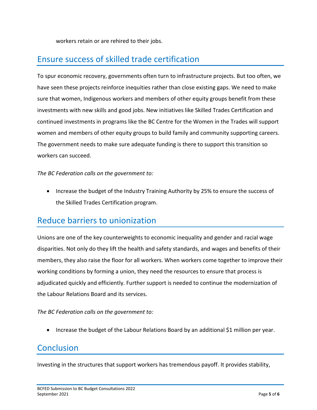workers retain or are rehired to their jobs.

# Ensure success of skilled trade certification

To spur economic recovery, governments often turn to infrastructure projects. But too often, we have seen these projects reinforce inequities rather than close existing gaps. We need to make sure that women, Indigenous workers and members of other equity groups benefit from these investments with new skills and good jobs. New initiatives like Skilled Trades Certification and continued investments in programs like the BC Centre for the Women in the Trades will support women and members of other equity groups to build family and community supporting careers. The government needs to make sure adequate funding is there to support this transition so workers can succeed.

*The BC Federation calls on the government to:*

• Increase the budget of the Industry Training Authority by 25% to ensure the success of the Skilled Trades Certification program.

## Reduce barriers to unionization

Unions are one of the key counterweights to economic inequality and gender and racial wage disparities. Not only do they lift the health and safety standards, and wages and benefits of their members, they also raise the floor for all workers. When workers come together to improve their working conditions by forming a union, they need the resources to ensure that process is adjudicated quickly and efficiently. Further support is needed to continue the modernization of the Labour Relations Board and its services.

*The BC Federation calls on the government to:*

• Increase the budget of the Labour Relations Board by an additional \$1 million per year.

## **Conclusion**

Investing in the structures that support workers has tremendous payoff. It provides stability,